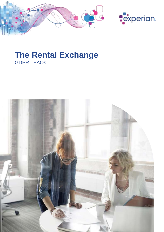



# **The Rental Exchange** GDPR - FAQs

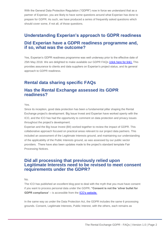With the General Data Protection Regulation ("GDPR") now in force we understand that as a partner of Experian, you are likely to have some questions around what Experian has done to prepare for GDPR. As such, we have produced a series of frequently asked questions which should cover some, if not all, of those questions.

## **Understanding Experian's approach to GDPR readiness Did Experian have a GDPR readiness programme and, if so, what was the outcome?**

Yes, Experian's GDPR readiness programme was well underway prior to the effective date of 25th May 2018. We are delighted to make available our GDPR FAQs [\(click here for link\).](https://www.experian.co.uk/gdpr/faqs.html) This provides assurance to clients and data suppliers on Experian's project status, and its general approach to GDPR readiness.

## **Rental data sharing specific FAQs**

#### **Has the Rental Exchange assessed its GDPR readiness?**

#### Yes.

Since its inception, good data protection has been a fundamental pillar shaping the Rental Exchange project's development. Big Issue Invest and Experian have worked openly with the ICO, and the ICO has had the opportunity to comment on data protection and privacy issues throughout the project's development.

Experian and the Big Issue Invest (BII) worked together to review the impact of GDPR. This collaborative approach focused on practical areas relevant to our project data partners. This included an assessment of the Legitimate Interests ground, and maintaining our understanding of the applicability of the Public Interests ground, as was assessed by our public sector providers. There have also been updates made to the project's standard template Fair Processing Notices.

#### **Did all processing that previously relied upon Legitimate Interests need to be revised to meet consent requirements under the GDPR?**

No.

The ICO has published an excellent blog post to deal with the myth that you must have consent if you want to process personal data under the GDPR**. "Consent is not the 'silver bullet for GDPR compliance'** – is accessible from the [ICO's website.](https://ico.org.uk/about-the-ico/news-and-events/news-and-blogs/2017/08/blog-consent-is-not-the-silver-bullet-for-gdpr-compliance/)

In the same way as under the Data Protection Act, the GDPR includes the same 6 processing grounds. Consent, Legitimate Interests, Public Interest, with the others, each remains as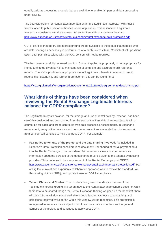equally valid as processing grounds that are available to enable fair personal data processing under GDPR.

The bedrock ground for Rental Exchange data sharing is Legitimate Interests, (with Public Interest open to public sector authorities where applicable). This reliance on Legitimate Interests is consistent with the approach taken for Rental Exchange from the start: <http://www.experian.co.uk/assets/rental-exchange/rental-exchange-data-protection.pdf>

GDPR clarifies that the Public Interest ground will be available to those public authorities who are data sharing as necessary in performance of a public interest task. Consistent with positions taken after past discussions with the ICO, consent will not be required.

This has been a carefully reviewed position. Consent applied appropriately is not appropriate for Rental Exchange given its risk to maintenance of complete and accurate credit reference records. The ICO's position on appropriate use of Legitimate Interests in relation to credit reports is longstanding, and further information on this can be found here:

<https://ico.org.uk/media/for-organisations/documents/1611/credit-agreements-data-sharing.pdf>

### **What kinds of things have been considered when reviewing the Rental Exchange Legitimate Interests balance for GDPR compliance?**

The Legitimate Interests balance, for the storage and use of rental data by Experian, has been carefully considered and constructed from the start of the Rental Exchange project. It will, of course, be for each landlord to control its own data processing assessments. In Experian's assessment, many of the balances and consumer protections embedded into its framework from concept will continue to hold true post-GDPR. For example:

- **Fair notice to tenants of the project and the data sharing involved.** As included in Experian's Data Protection considerations document: For sharing of rental payment data into the Rental Exchange to be considered fair to tenants, clear and comprehensive information about the purpose of the data sharing must be given to the tenants by housing providers This continues to be a requirement of the Rental Exchange post GDPR. [http://www.experian.co.uk/assets/rental-exchange/rental-exchange-data-protection.pdf.](http://www.experian.co.uk/assets/rental-exchange/rental-exchange-data-protection.pdf) Part of Big Issue Invest and Experian's collaborative approach was to review the standard Fair Processing Notices (FPN), and update these for GDPR compliance.
- **Tenant Choice and Control:** The ICO has recognised that despite the use of the 'legitimate interests' ground, if a tenant new to the Rental Exchange scheme does not want their data to be shared though the Rental Exchange (having weighed up the benefits), there will be a 28-day window made available (should landlords choose to adopt this), and objections received by Experian within this window will be respected. This protection is recognised to enhance data subject control over their data and enhances the general fairness of the project, and continues to apply post GDPR.